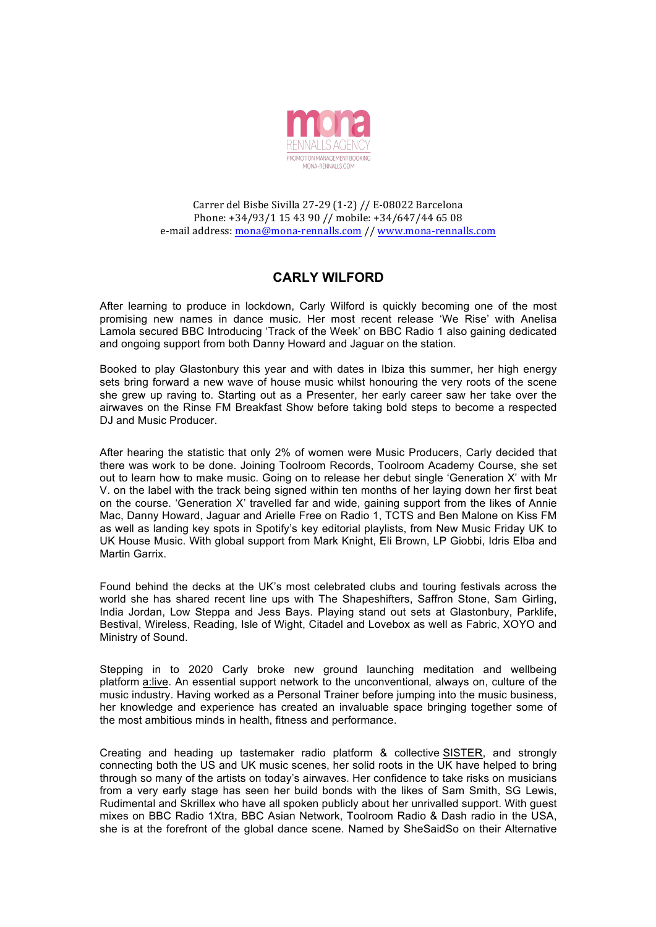

Carrer del Bisbe Sivilla 27-29 (1-2) // E-08022 Barcelona Phone: +34/93/1 15 43 90 // mobile: +34/647/44 65 08 e-mail address: mona@mona-rennalls.com // www.mona-rennalls.com

## **CARLY WILFORD**

After learning to produce in lockdown, Carly Wilford is quickly becoming one of the most promising new names in dance music. Her most recent release 'We Rise' with Anelisa Lamola secured BBC Introducing 'Track of the Week' on BBC Radio 1 also gaining dedicated and ongoing support from both Danny Howard and Jaguar on the station.

Booked to play Glastonbury this year and with dates in Ibiza this summer, her high energy sets bring forward a new wave of house music whilst honouring the very roots of the scene she grew up raving to. Starting out as a Presenter, her early career saw her take over the airwaves on the Rinse FM Breakfast Show before taking bold steps to become a respected DJ and Music Producer.

After hearing the statistic that only 2% of women were Music Producers, Carly decided that there was work to be done. Joining Toolroom Records, Toolroom Academy Course, she set out to learn how to make music. Going on to release her debut single 'Generation X' with Mr V. on the label with the track being signed within ten months of her laying down her first beat on the course. 'Generation X' travelled far and wide, gaining support from the likes of Annie Mac, Danny Howard, Jaguar and Arielle Free on Radio 1, TCTS and Ben Malone on Kiss FM as well as landing key spots in Spotify's key editorial playlists, from New Music Friday UK to UK House Music. With global support from Mark Knight, Eli Brown, LP Giobbi, Idris Elba and Martin Garrix.

Found behind the decks at the UK's most celebrated clubs and touring festivals across the world she has shared recent line ups with The Shapeshifters, Saffron Stone, Sam Girling, India Jordan, Low Steppa and Jess Bays. Playing stand out sets at Glastonbury, Parklife, Bestival, Wireless, Reading, Isle of Wight, Citadel and Lovebox as well as Fabric, XOYO and Ministry of Sound.

Stepping in to 2020 Carly broke new ground launching meditation and wellbeing platform a:live. An essential support network to the unconventional, always on, culture of the music industry. Having worked as a Personal Trainer before jumping into the music business, her knowledge and experience has created an invaluable space bringing together some of the most ambitious minds in health, fitness and performance.

Creating and heading up tastemaker radio platform & collective SISTER, and strongly connecting both the US and UK music scenes, her solid roots in the UK have helped to bring through so many of the artists on today's airwaves. Her confidence to take risks on musicians from a very early stage has seen her build bonds with the likes of Sam Smith, SG Lewis, Rudimental and Skrillex who have all spoken publicly about her unrivalled support. With guest mixes on BBC Radio 1Xtra, BBC Asian Network, Toolroom Radio & Dash radio in the USA, she is at the forefront of the global dance scene. Named by SheSaidSo on their Alternative